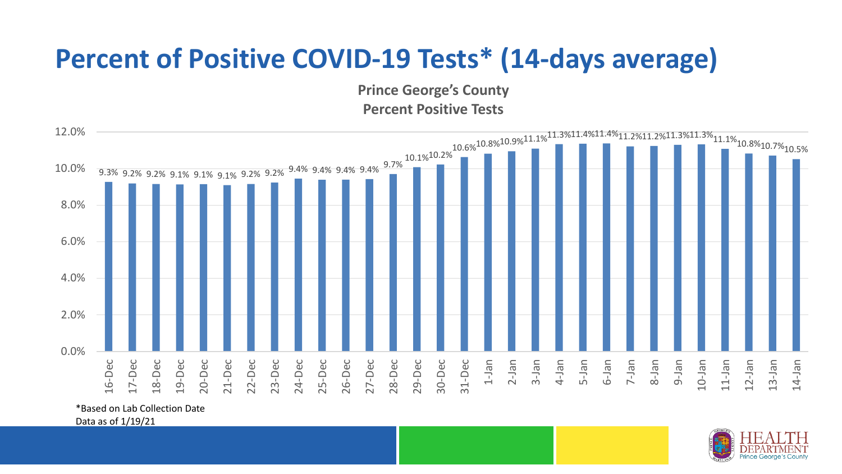## **Percent of Positive COVID-19 Tests\* (14-days average)**

**Prince George's County Percent Positive Tests**



\*Based on Lab Collection Date

Data as of 1/19/21

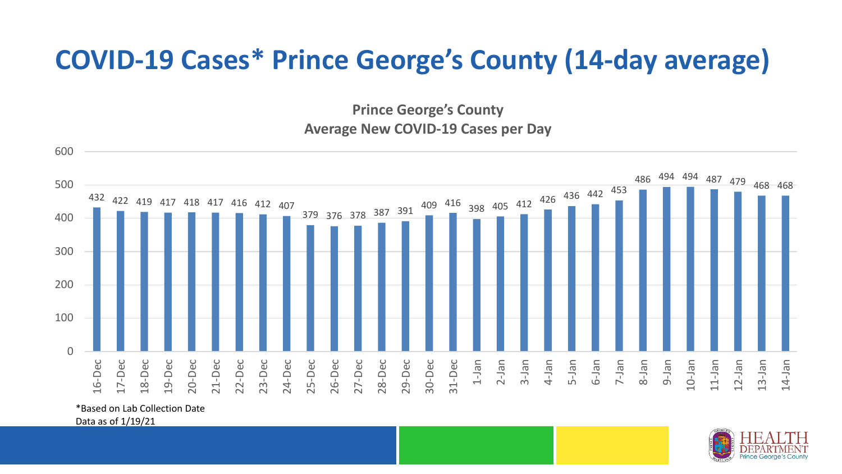## **COVID-19 Cases\* Prince George's County (14-day average)**

**Prince George's County Average New COVID-19 Cases per Day**



\*Based on Lab Collection Date

Data as of 1/19/21